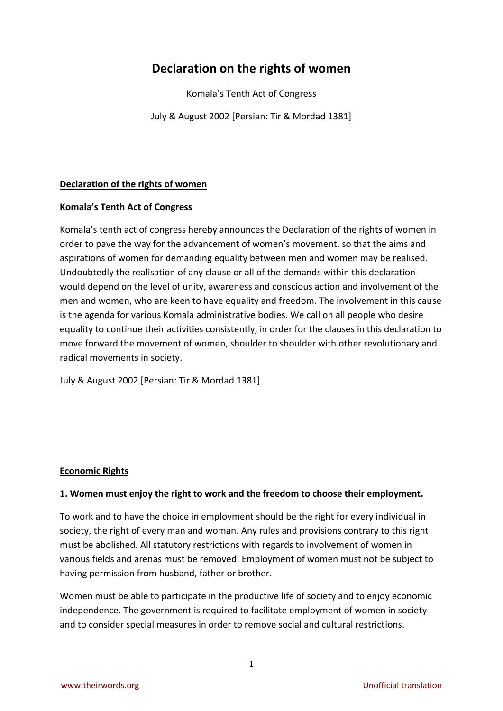# **Declaration on the rights of women**

Komala's Tenth Act of Congress

July & August 2002 [Persian: Tir & Mordad 1381]

## **Declaration of the rights of women**

#### **Komala's Tenth Act of Congress**

Komala's tenth act of congress hereby announces the Declaration of the rights of women in order to pave the way for the advancement of women's movement, so that the aims and aspirations of women for demanding equality between men and women may be realised. Undoubtedly the realisation of any clause or all of the demands within this declaration would depend on the level of unity, awareness and conscious action and involvement of the men and women, who are keen to have equality and freedom. The involvement in this cause is the agenda for various Komala administrative bodies. We call on all people who desire equality to continue their activities consistently, in order for the clauses in this declaration to move forward the movement of women, shoulder to shoulder with other revolutionary and radical movements in society.

July & August 2002 [Persian: Tir & Mordad 1381]

## **Economic Rights**

## **1. Women must enjoy the right to work and the freedom to choose their employment.**

To work and to have the choice in employment should be the right for every individual in society, the right of every man and woman. Any rules and provisions contrary to this right must be abolished. All statutory restrictions with regards to involvement of women in various fields and arenas must be removed. Employment of women must not be subject to having permission from husband, father or brother.

Women must be able to participate in the productive life of society and to enjoy economic independence. The government is required to facilitate employment of women in society and to consider special measures in order to remove social and cultural restrictions.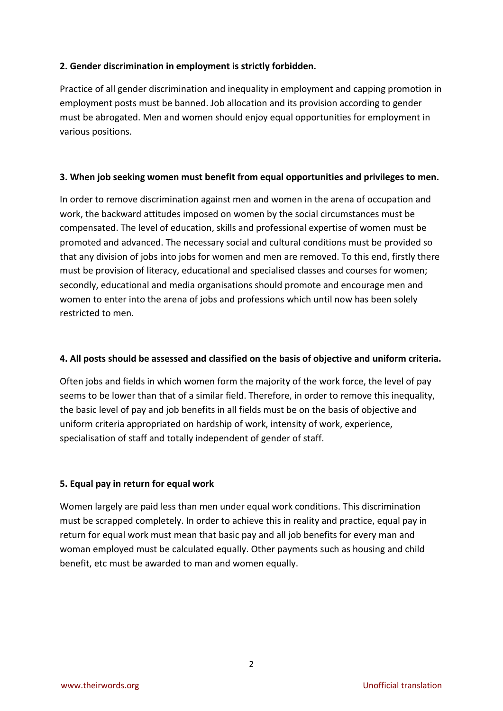## **2. Gender discrimination in employment is strictly forbidden.**

Practice of all gender discrimination and inequality in employment and capping promotion in employment posts must be banned. Job allocation and its provision according to gender must be abrogated. Men and women should enjoy equal opportunities for employment in various positions.

#### **3. When job seeking women must benefit from equal opportunities and privileges to men.**

In order to remove discrimination against men and women in the arena of occupation and work, the backward attitudes imposed on women by the social circumstances must be compensated. The level of education, skills and professional expertise of women must be promoted and advanced. The necessary social and cultural conditions must be provided so that any division of jobs into jobs for women and men are removed. To this end, firstly there must be provision of literacy, educational and specialised classes and courses for women; secondly, educational and media organisations should promote and encourage men and women to enter into the arena of jobs and professions which until now has been solely restricted to men.

#### **4. All posts should be assessed and classified on the basis of objective and uniform criteria.**

Often jobs and fields in which women form the majority of the work force, the level of pay seems to be lower than that of a similar field. Therefore, in order to remove this inequality, the basic level of pay and job benefits in all fields must be on the basis of objective and uniform criteria appropriated on hardship of work, intensity of work, experience, specialisation of staff and totally independent of gender of staff.

## **5. Equal pay in return for equal work**

Women largely are paid less than men under equal work conditions. This discrimination must be scrapped completely. In order to achieve this in reality and practice, equal pay in return for equal work must mean that basic pay and all job benefits for every man and woman employed must be calculated equally. Other payments such as housing and child benefit, etc must be awarded to man and women equally.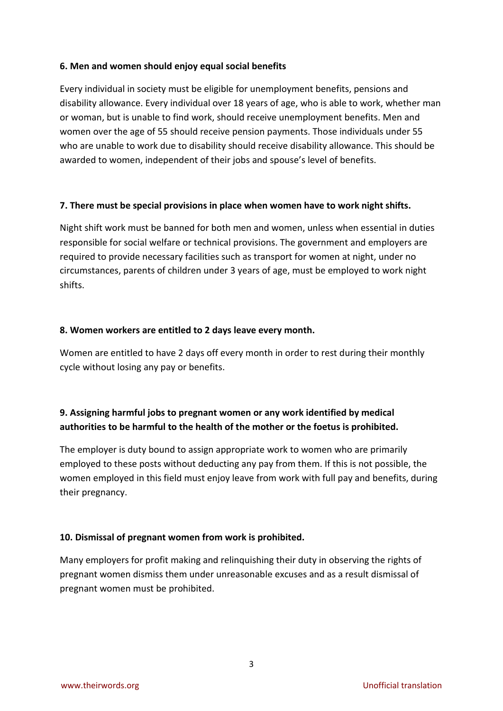#### **6. Men and women should enjoy equal social benefits**

Every individual in society must be eligible for unemployment benefits, pensions and disability allowance. Every individual over 18 years of age, who is able to work, whether man or woman, but is unable to find work, should receive unemployment benefits. Men and women over the age of 55 should receive pension payments. Those individuals under 55 who are unable to work due to disability should receive disability allowance. This should be awarded to women, independent of their jobs and spouse's level of benefits.

#### **7. There must be special provisions in place when women have to work night shifts.**

Night shift work must be banned for both men and women, unless when essential in duties responsible for social welfare or technical provisions. The government and employers are required to provide necessary facilities such as transport for women at night, under no circumstances, parents of children under 3 years of age, must be employed to work night shifts.

#### **8. Women workers are entitled to 2 days leave every month.**

Women are entitled to have 2 days off every month in order to rest during their monthly cycle without losing any pay or benefits.

## **9. Assigning harmful jobs to pregnant women or any work identified by medical authorities to be harmful to the health of the mother or the foetus is prohibited.**

The employer is duty bound to assign appropriate work to women who are primarily employed to these posts without deducting any pay from them. If this is not possible, the women employed in this field must enjoy leave from work with full pay and benefits, during their pregnancy.

## **10. Dismissal of pregnant women from work is prohibited.**

Many employers for profit making and relinquishing their duty in observing the rights of pregnant women dismiss them under unreasonable excuses and as a result dismissal of pregnant women must be prohibited.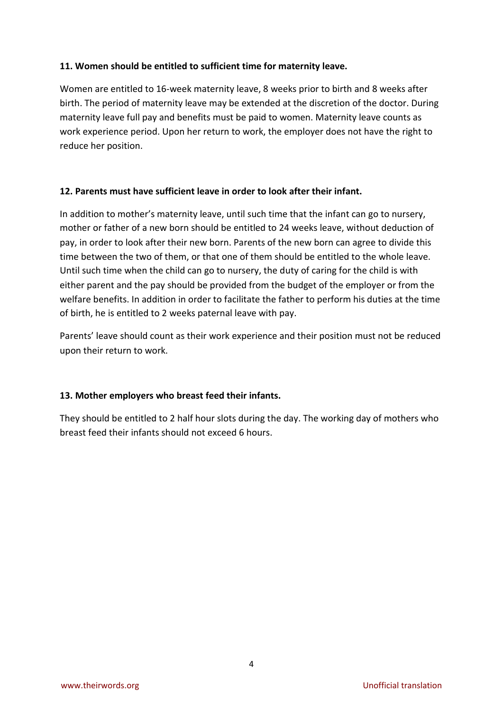#### **11. Women should be entitled to sufficient time for maternity leave.**

Women are entitled to 16-week maternity leave, 8 weeks prior to birth and 8 weeks after birth. The period of maternity leave may be extended at the discretion of the doctor. During maternity leave full pay and benefits must be paid to women. Maternity leave counts as work experience period. Upon her return to work, the employer does not have the right to reduce her position.

#### **12. Parents must have sufficient leave in order to look after their infant.**

In addition to mother's maternity leave, until such time that the infant can go to nursery, mother or father of a new born should be entitled to 24 weeks leave, without deduction of pay, in order to look after their new born. Parents of the new born can agree to divide this time between the two of them, or that one of them should be entitled to the whole leave. Until such time when the child can go to nursery, the duty of caring for the child is with either parent and the pay should be provided from the budget of the employer or from the welfare benefits. In addition in order to facilitate the father to perform his duties at the time of birth, he is entitled to 2 weeks paternal leave with pay.

Parents' leave should count as their work experience and their position must not be reduced upon their return to work.

## **13. Mother employers who breast feed their infants.**

They should be entitled to 2 half hour slots during the day. The working day of mothers who breast feed their infants should not exceed 6 hours.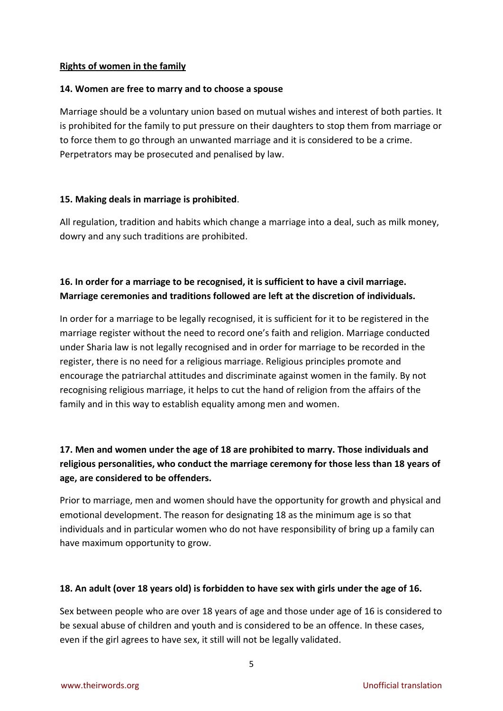#### **Rights of women in the family**

#### **14. Women are free to marry and to choose a spouse**

Marriage should be a voluntary union based on mutual wishes and interest of both parties. It is prohibited for the family to put pressure on their daughters to stop them from marriage or to force them to go through an unwanted marriage and it is considered to be a crime. Perpetrators may be prosecuted and penalised by law.

## **15. Making deals in marriage is prohibited**.

All regulation, tradition and habits which change a marriage into a deal, such as milk money, dowry and any such traditions are prohibited.

## **16. In order for a marriage to be recognised, it is sufficient to have a civil marriage. Marriage ceremonies and traditions followed are left at the discretion of individuals.**

In order for a marriage to be legally recognised, it is sufficient for it to be registered in the marriage register without the need to record one's faith and religion. Marriage conducted under Sharia law is not legally recognised and in order for marriage to be recorded in the register, there is no need for a religious marriage. Religious principles promote and encourage the patriarchal attitudes and discriminate against women in the family. By not recognising religious marriage, it helps to cut the hand of religion from the affairs of the family and in this way to establish equality among men and women.

## **17. Men and women under the age of 18 are prohibited to marry. Those individuals and religious personalities, who conduct the marriage ceremony for those less than 18 years of age, are considered to be offenders.**

Prior to marriage, men and women should have the opportunity for growth and physical and emotional development. The reason for designating 18 as the minimum age is so that individuals and in particular women who do not have responsibility of bring up a family can have maximum opportunity to grow.

## **18. An adult (over 18 years old) is forbidden to have sex with girls under the age of 16.**

Sex between people who are over 18 years of age and those under age of 16 is considered to be sexual abuse of children and youth and is considered to be an offence. In these cases, even if the girl agrees to have sex, it still will not be legally validated.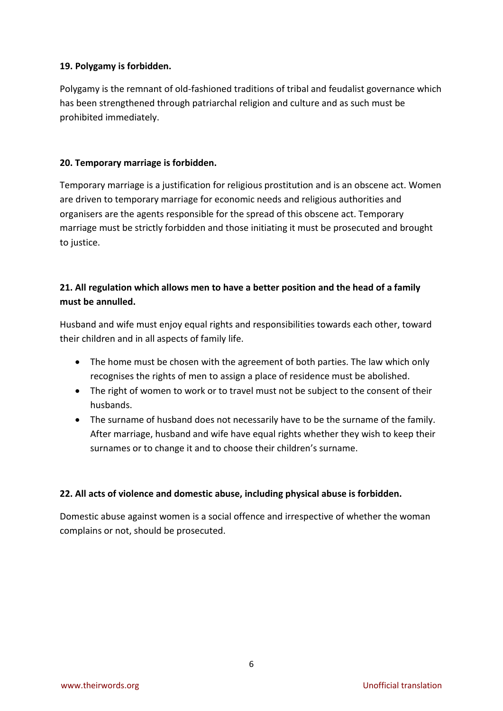## **19. Polygamy is forbidden.**

Polygamy is the remnant of old-fashioned traditions of tribal and feudalist governance which has been strengthened through patriarchal religion and culture and as such must be prohibited immediately.

#### **20. Temporary marriage is forbidden.**

Temporary marriage is a justification for religious prostitution and is an obscene act. Women are driven to temporary marriage for economic needs and religious authorities and organisers are the agents responsible for the spread of this obscene act. Temporary marriage must be strictly forbidden and those initiating it must be prosecuted and brought to justice.

## **21. All regulation which allows men to have a better position and the head of a family must be annulled.**

Husband and wife must enjoy equal rights and responsibilities towards each other, toward their children and in all aspects of family life.

- The home must be chosen with the agreement of both parties. The law which only recognises the rights of men to assign a place of residence must be abolished.
- The right of women to work or to travel must not be subject to the consent of their husbands.
- The surname of husband does not necessarily have to be the surname of the family. After marriage, husband and wife have equal rights whether they wish to keep their surnames or to change it and to choose their children's surname.

## **22. All acts of violence and domestic abuse, including physical abuse is forbidden.**

Domestic abuse against women is a social offence and irrespective of whether the woman complains or not, should be prosecuted.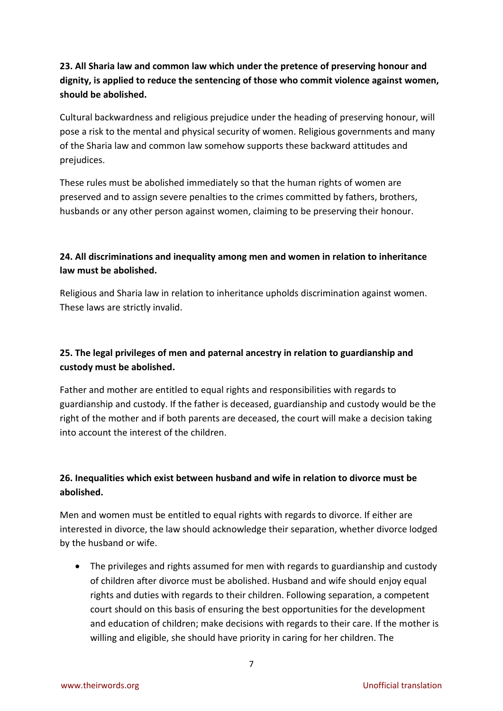## **23. All Sharia law and common law which under the pretence of preserving honour and dignity, is applied to reduce the sentencing of those who commit violence against women, should be abolished.**

Cultural backwardness and religious prejudice under the heading of preserving honour, will pose a risk to the mental and physical security of women. Religious governments and many of the Sharia law and common law somehow supports these backward attitudes and prejudices.

These rules must be abolished immediately so that the human rights of women are preserved and to assign severe penalties to the crimes committed by fathers, brothers, husbands or any other person against women, claiming to be preserving their honour.

## **24. All discriminations and inequality among men and women in relation to inheritance law must be abolished.**

Religious and Sharia law in relation to inheritance upholds discrimination against women. These laws are strictly invalid.

## **25. The legal privileges of men and paternal ancestry in relation to guardianship and custody must be abolished.**

Father and mother are entitled to equal rights and responsibilities with regards to guardianship and custody. If the father is deceased, guardianship and custody would be the right of the mother and if both parents are deceased, the court will make a decision taking into account the interest of the children.

## **26. Inequalities which exist between husband and wife in relation to divorce must be abolished.**

Men and women must be entitled to equal rights with regards to divorce. If either are interested in divorce, the law should acknowledge their separation, whether divorce lodged by the husband or wife.

 The privileges and rights assumed for men with regards to guardianship and custody of children after divorce must be abolished. Husband and wife should enjoy equal rights and duties with regards to their children. Following separation, a competent court should on this basis of ensuring the best opportunities for the development and education of children; make decisions with regards to their care. If the mother is willing and eligible, she should have priority in caring for her children. The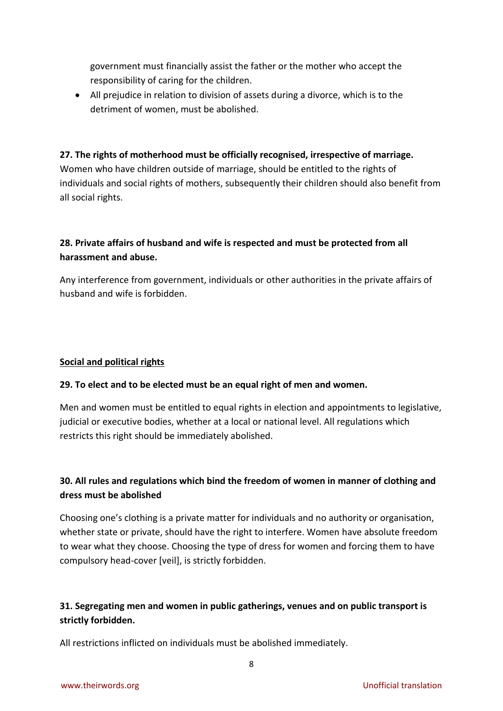government must financially assist the father or the mother who accept the responsibility of caring for the children.

 All prejudice in relation to division of assets during a divorce, which is to the detriment of women, must be abolished.

## **27. The rights of motherhood must be officially recognised, irrespective of marriage.**

Women who have children outside of marriage, should be entitled to the rights of individuals and social rights of mothers, subsequently their children should also benefit from all social rights.

## **28. Private affairs of husband and wife is respected and must be protected from all harassment and abuse.**

Any interference from government, individuals or other authorities in the private affairs of husband and wife is forbidden.

## **Social and political rights**

## **29. To elect and to be elected must be an equal right of men and women.**

Men and women must be entitled to equal rights in election and appointments to legislative, judicial or executive bodies, whether at a local or national level. All regulations which restricts this right should be immediately abolished.

## **30. All rules and regulations which bind the freedom of women in manner of clothing and dress must be abolished**

Choosing one's clothing is a private matter for individuals and no authority or organisation, whether state or private, should have the right to interfere. Women have absolute freedom to wear what they choose. Choosing the type of dress for women and forcing them to have compulsory head-cover [veil], is strictly forbidden.

## **31. Segregating men and women in public gatherings, venues and on public transport is strictly forbidden.**

8

All restrictions inflicted on individuals must be abolished immediately.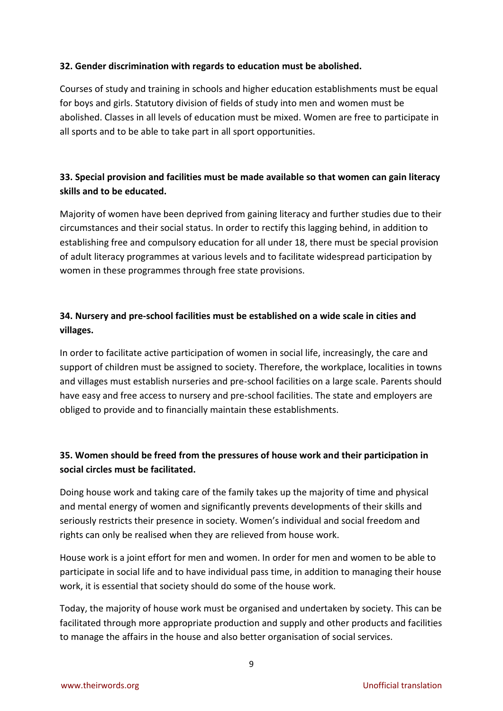## **32. Gender discrimination with regards to education must be abolished.**

Courses of study and training in schools and higher education establishments must be equal for boys and girls. Statutory division of fields of study into men and women must be abolished. Classes in all levels of education must be mixed. Women are free to participate in all sports and to be able to take part in all sport opportunities.

## **33. Special provision and facilities must be made available so that women can gain literacy skills and to be educated.**

Majority of women have been deprived from gaining literacy and further studies due to their circumstances and their social status. In order to rectify this lagging behind, in addition to establishing free and compulsory education for all under 18, there must be special provision of adult literacy programmes at various levels and to facilitate widespread participation by women in these programmes through free state provisions.

## **34. Nursery and pre-school facilities must be established on a wide scale in cities and villages.**

In order to facilitate active participation of women in social life, increasingly, the care and support of children must be assigned to society. Therefore, the workplace, localities in towns and villages must establish nurseries and pre-school facilities on a large scale. Parents should have easy and free access to nursery and pre-school facilities. The state and employers are obliged to provide and to financially maintain these establishments.

## **35. Women should be freed from the pressures of house work and their participation in social circles must be facilitated.**

Doing house work and taking care of the family takes up the majority of time and physical and mental energy of women and significantly prevents developments of their skills and seriously restricts their presence in society. Women's individual and social freedom and rights can only be realised when they are relieved from house work.

House work is a joint effort for men and women. In order for men and women to be able to participate in social life and to have individual pass time, in addition to managing their house work, it is essential that society should do some of the house work.

Today, the majority of house work must be organised and undertaken by society. This can be facilitated through more appropriate production and supply and other products and facilities to manage the affairs in the house and also better organisation of social services.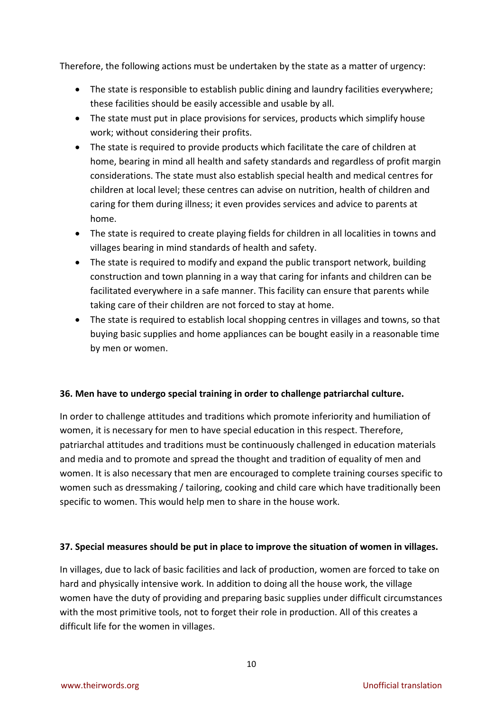Therefore, the following actions must be undertaken by the state as a matter of urgency:

- The state is responsible to establish public dining and laundry facilities everywhere; these facilities should be easily accessible and usable by all.
- The state must put in place provisions for services, products which simplify house work; without considering their profits.
- The state is required to provide products which facilitate the care of children at home, bearing in mind all health and safety standards and regardless of profit margin considerations. The state must also establish special health and medical centres for children at local level; these centres can advise on nutrition, health of children and caring for them during illness; it even provides services and advice to parents at home.
- The state is required to create playing fields for children in all localities in towns and villages bearing in mind standards of health and safety.
- The state is required to modify and expand the public transport network, building construction and town planning in a way that caring for infants and children can be facilitated everywhere in a safe manner. This facility can ensure that parents while taking care of their children are not forced to stay at home.
- The state is required to establish local shopping centres in villages and towns, so that buying basic supplies and home appliances can be bought easily in a reasonable time by men or women.

## **36. Men have to undergo special training in order to challenge patriarchal culture.**

In order to challenge attitudes and traditions which promote inferiority and humiliation of women, it is necessary for men to have special education in this respect. Therefore, patriarchal attitudes and traditions must be continuously challenged in education materials and media and to promote and spread the thought and tradition of equality of men and women. It is also necessary that men are encouraged to complete training courses specific to women such as dressmaking / tailoring, cooking and child care which have traditionally been specific to women. This would help men to share in the house work.

## **37. Special measures should be put in place to improve the situation of women in villages.**

In villages, due to lack of basic facilities and lack of production, women are forced to take on hard and physically intensive work. In addition to doing all the house work, the village women have the duty of providing and preparing basic supplies under difficult circumstances with the most primitive tools, not to forget their role in production. All of this creates a difficult life for the women in villages.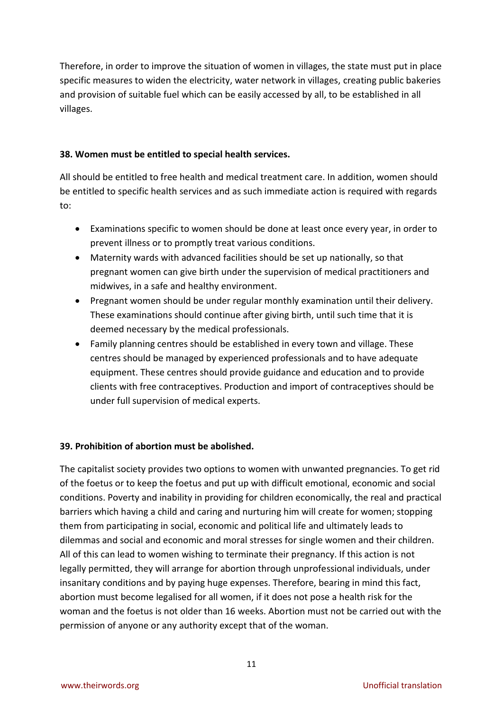Therefore, in order to improve the situation of women in villages, the state must put in place specific measures to widen the electricity, water network in villages, creating public bakeries and provision of suitable fuel which can be easily accessed by all, to be established in all villages.

#### **38. Women must be entitled to special health services.**

All should be entitled to free health and medical treatment care. In addition, women should be entitled to specific health services and as such immediate action is required with regards to:

- Examinations specific to women should be done at least once every year, in order to prevent illness or to promptly treat various conditions.
- Maternity wards with advanced facilities should be set up nationally, so that pregnant women can give birth under the supervision of medical practitioners and midwives, in a safe and healthy environment.
- Pregnant women should be under regular monthly examination until their delivery. These examinations should continue after giving birth, until such time that it is deemed necessary by the medical professionals.
- Family planning centres should be established in every town and village. These centres should be managed by experienced professionals and to have adequate equipment. These centres should provide guidance and education and to provide clients with free contraceptives. Production and import of contraceptives should be under full supervision of medical experts.

## **39. Prohibition of abortion must be abolished.**

The capitalist society provides two options to women with unwanted pregnancies. To get rid of the foetus or to keep the foetus and put up with difficult emotional, economic and social conditions. Poverty and inability in providing for children economically, the real and practical barriers which having a child and caring and nurturing him will create for women; stopping them from participating in social, economic and political life and ultimately leads to dilemmas and social and economic and moral stresses for single women and their children. All of this can lead to women wishing to terminate their pregnancy. If this action is not legally permitted, they will arrange for abortion through unprofessional individuals, under insanitary conditions and by paying huge expenses. Therefore, bearing in mind this fact, abortion must become legalised for all women, if it does not pose a health risk for the woman and the foetus is not older than 16 weeks. Abortion must not be carried out with the permission of anyone or any authority except that of the woman.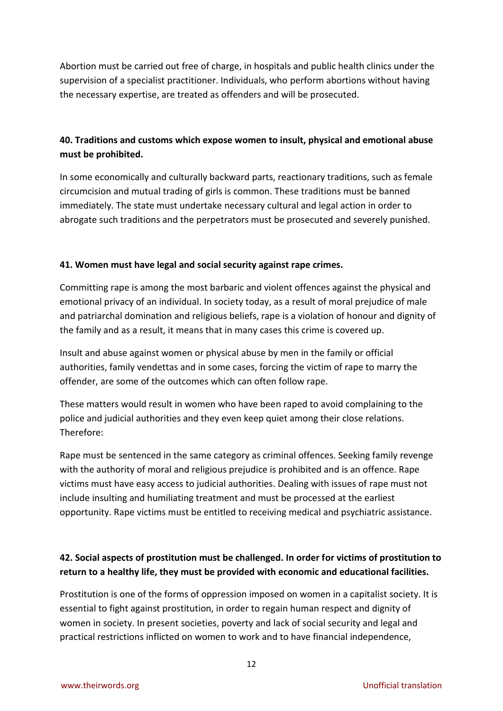Abortion must be carried out free of charge, in hospitals and public health clinics under the supervision of a specialist practitioner. Individuals, who perform abortions without having the necessary expertise, are treated as offenders and will be prosecuted.

## **40. Traditions and customs which expose women to insult, physical and emotional abuse must be prohibited.**

In some economically and culturally backward parts, reactionary traditions, such as female circumcision and mutual trading of girls is common. These traditions must be banned immediately. The state must undertake necessary cultural and legal action in order to abrogate such traditions and the perpetrators must be prosecuted and severely punished.

## **41. Women must have legal and social security against rape crimes.**

Committing rape is among the most barbaric and violent offences against the physical and emotional privacy of an individual. In society today, as a result of moral prejudice of male and patriarchal domination and religious beliefs, rape is a violation of honour and dignity of the family and as a result, it means that in many cases this crime is covered up.

Insult and abuse against women or physical abuse by men in the family or official authorities, family vendettas and in some cases, forcing the victim of rape to marry the offender, are some of the outcomes which can often follow rape.

These matters would result in women who have been raped to avoid complaining to the police and judicial authorities and they even keep quiet among their close relations. Therefore:

Rape must be sentenced in the same category as criminal offences. Seeking family revenge with the authority of moral and religious prejudice is prohibited and is an offence. Rape victims must have easy access to judicial authorities. Dealing with issues of rape must not include insulting and humiliating treatment and must be processed at the earliest opportunity. Rape victims must be entitled to receiving medical and psychiatric assistance.

## **42. Social aspects of prostitution must be challenged. In order for victims of prostitution to return to a healthy life, they must be provided with economic and educational facilities.**

Prostitution is one of the forms of oppression imposed on women in a capitalist society. It is essential to fight against prostitution, in order to regain human respect and dignity of women in society. In present societies, poverty and lack of social security and legal and practical restrictions inflicted on women to work and to have financial independence,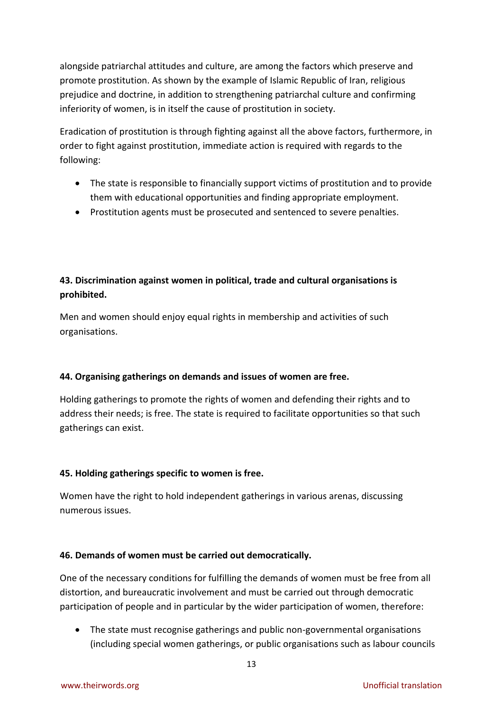alongside patriarchal attitudes and culture, are among the factors which preserve and promote prostitution. As shown by the example of Islamic Republic of Iran, religious prejudice and doctrine, in addition to strengthening patriarchal culture and confirming inferiority of women, is in itself the cause of prostitution in society.

Eradication of prostitution is through fighting against all the above factors, furthermore, in order to fight against prostitution, immediate action is required with regards to the following:

- The state is responsible to financially support victims of prostitution and to provide them with educational opportunities and finding appropriate employment.
- Prostitution agents must be prosecuted and sentenced to severe penalties.

## **43. Discrimination against women in political, trade and cultural organisations is prohibited.**

Men and women should enjoy equal rights in membership and activities of such organisations.

## **44. Organising gatherings on demands and issues of women are free.**

Holding gatherings to promote the rights of women and defending their rights and to address their needs; is free. The state is required to facilitate opportunities so that such gatherings can exist.

## **45. Holding gatherings specific to women is free.**

Women have the right to hold independent gatherings in various arenas, discussing numerous issues.

## **46. Demands of women must be carried out democratically.**

One of the necessary conditions for fulfilling the demands of women must be free from all distortion, and bureaucratic involvement and must be carried out through democratic participation of people and in particular by the wider participation of women, therefore:

 The state must recognise gatherings and public non-governmental organisations (including special women gatherings, or public organisations such as labour councils